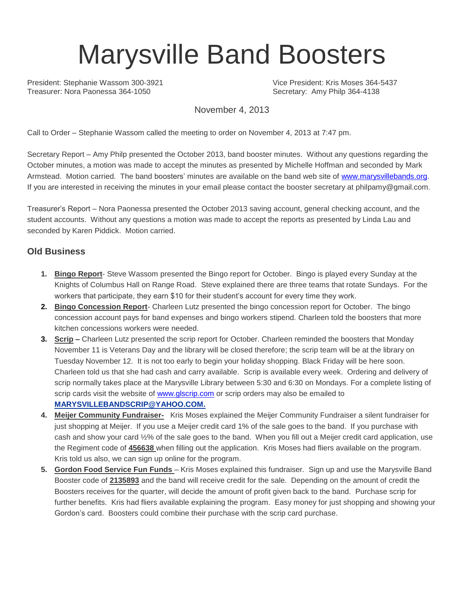# Marysville Band Boosters

President: Stephanie Wassom 300-3921 Vice President: Kris Moses 364-5437 Treasurer: Nora Paonessa 364-1050 Secretary: Amy Philp 364-4138

November 4, 2013

Call to Order – Stephanie Wassom called the meeting to order on November 4, 2013 at 7:47 pm.

Secretary Report – Amy Philp presented the October 2013, band booster minutes. Without any questions regarding the October minutes, a motion was made to accept the minutes as presented by Michelle Hoffman and seconded by Mark Armstead. Motion carried. The band boosters' minutes are available on the band web site of [www.marysvillebands.org.](http://www.marysvillebands.org/) If you are interested in receiving the minutes in your email please contact the booster secretary at philpamy@gmail.com.

Treasurer's Report – Nora Paonessa presented the October 2013 saving account, general checking account, and the student accounts. Without any questions a motion was made to accept the reports as presented by Linda Lau and seconded by Karen Piddick. Motion carried.

## **Old Business**

- **1. Bingo Report** Steve Wassom presented the Bingo report for October. Bingo is played every Sunday at the Knights of Columbus Hall on Range Road. Steve explained there are three teams that rotate Sundays. For the workers that participate, they earn \$10 for their student's account for every time they work.
- **2. Bingo Concession Report** Charleen Lutz presented the bingo concession report for October. The bingo concession account pays for band expenses and bingo workers stipend. Charleen told the boosters that more kitchen concessions workers were needed.
- **3. Scrip –** Charleen Lutz presented the scrip report for October. Charleen reminded the boosters that Monday November 11 is Veterans Day and the library will be closed therefore; the scrip team will be at the library on Tuesday November 12. It is not too early to begin your holiday shopping. Black Friday will be here soon. Charleen told us that she had cash and carry available. Scrip is available every week. Ordering and delivery of scrip normally takes place at the Marysville Library between 5:30 and 6:30 on Mondays. For a complete listing of scrip cards visit the website of [www.glscrip.com](http://www.glscrip.com/) or scrip orders may also be emailed to **[MARYSVILLEBANDSCRIP@YAHOO.COM.](http://us.f838.mail.yahoo.com/ym/Compose?To=MARYSVILLEBANDSCRIP@YAHOO.COM%20/%20_blank)**
- **4. Meijer Community Fundraiser-** Kris Moses explained the Meijer Community Fundraiser a silent fundraiser for just shopping at Meijer. If you use a Meijer credit card 1% of the sale goes to the band. If you purchase with cash and show your card ½% of the sale goes to the band. When you fill out a Meijer credit card application, use the Regiment code of **456638** when filling out the application. Kris Moses had fliers available on the program. Kris told us also, we can sign up online for the program.
- **5. Gordon Food Service Fun Funds**  Kris Moses explained this fundraiser. Sign up and use the Marysville Band Booster code of **2135893** and the band will receive credit for the sale. Depending on the amount of credit the Boosters receives for the quarter, will decide the amount of profit given back to the band. Purchase scrip for further benefits. Kris had fliers available explaining the program. Easy money for just shopping and showing your Gordon's card. Boosters could combine their purchase with the scrip card purchase.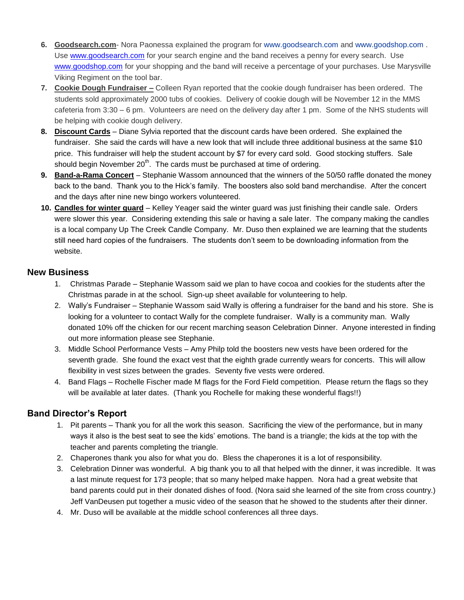- **6. Goodsearch.com** Nora Paonessa explained the program for [www.goodsearch.com](http://www.goodsearch.com/) and [www.goodshop.com](http://www.goodshop.com/) . Use [www.goodsearch.com](http://www.goodsearch.com/) for your search engine and the band receives a penny for every search. Use [www.goodshop.com](http://www.goodshop.com/) for your shopping and the band will receive a percentage of your purchases. Use Marysville Viking Regiment on the tool bar.
- **7. Cookie Dough Fundraiser –** Colleen Ryan reported that the cookie dough fundraiser has been ordered. The students sold approximately 2000 tubs of cookies. Delivery of cookie dough will be November 12 in the MMS cafeteria from 3:30 – 6 pm. Volunteers are need on the delivery day after 1 pm. Some of the NHS students will be helping with cookie dough delivery.
- **8. Discount Cards** Diane Sylvia reported that the discount cards have been ordered. She explained the fundraiser. She said the cards will have a new look that will include three additional business at the same \$10 price. This fundraiser will help the student account by \$7 for every card sold. Good stocking stuffers. Sale should begin November  $20<sup>th</sup>$ . The cards must be purchased at time of ordering.
- **9. Band-a-Rama Concert** Stephanie Wassom announced that the winners of the 50/50 raffle donated the money back to the band. Thank you to the Hick's family. The boosters also sold band merchandise. After the concert and the days after nine new bingo workers volunteered.
- **10. Candles for winter guard** Kelley Yeager said the winter guard was just finishing their candle sale. Orders were slower this year. Considering extending this sale or having a sale later. The company making the candles is a local company Up The Creek Candle Company. Mr. Duso then explained we are learning that the students still need hard copies of the fundraisers. The students don't seem to be downloading information from the website.

#### **New Business**

- 1. Christmas Parade Stephanie Wassom said we plan to have cocoa and cookies for the students after the Christmas parade in at the school. Sign-up sheet available for volunteering to help.
- 2. Wally's Fundraiser Stephanie Wassom said Wally is offering a fundraiser for the band and his store. She is looking for a volunteer to contact Wally for the complete fundraiser. Wally is a community man. Wally donated 10% off the chicken for our recent marching season Celebration Dinner. Anyone interested in finding out more information please see Stephanie.
- 3. Middle School Performance Vests Amy Philp told the boosters new vests have been ordered for the seventh grade. She found the exact vest that the eighth grade currently wears for concerts. This will allow flexibility in vest sizes between the grades. Seventy five vests were ordered.
- 4. Band Flags Rochelle Fischer made M flags for the Ford Field competition. Please return the flags so they will be available at later dates. (Thank you Rochelle for making these wonderful flags!!)

## **Band Director's Report**

- 1. Pit parents Thank you for all the work this season. Sacrificing the view of the performance, but in many ways it also is the best seat to see the kids' emotions. The band is a triangle; the kids at the top with the teacher and parents completing the triangle.
- 2. Chaperones thank you also for what you do. Bless the chaperones it is a lot of responsibility.
- 3. Celebration Dinner was wonderful. A big thank you to all that helped with the dinner, it was incredible. It was a last minute request for 173 people; that so many helped make happen. Nora had a great website that band parents could put in their donated dishes of food. (Nora said she learned of the site from cross country.) Jeff VanDeusen put together a music video of the season that he showed to the students after their dinner.
- 4. Mr. Duso will be available at the middle school conferences all three days.